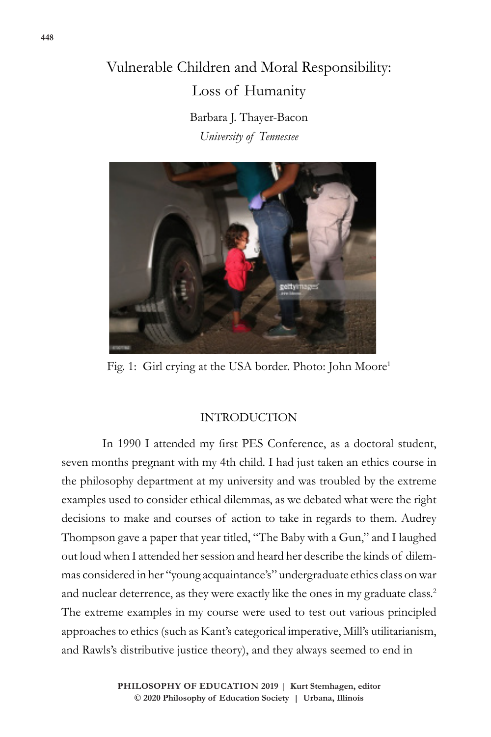# Vulnerable Children and Moral Responsibility: Loss of Humanity

Barbara J. Thayer-Bacon *University of Tennessee*



Fig. 1: Girl crying at the USA border. Photo: John Moore<sup>1</sup>

### INTRODUCTION

In 1990 I attended my first PES Conference, as a doctoral student, seven months pregnant with my 4th child. I had just taken an ethics course in the philosophy department at my university and was troubled by the extreme examples used to consider ethical dilemmas, as we debated what were the right decisions to make and courses of action to take in regards to them. Audrey Thompson gave a paper that year titled, "The Baby with a Gun," and I laughed out loud when I attended her session and heard her describe the kinds of dilemmas considered in her "young acquaintance's" undergraduate ethics class on war and nuclear deterrence, as they were exactly like the ones in my graduate class.<sup>2</sup> The extreme examples in my course were used to test out various principled approaches to ethics (such as Kant's categorical imperative, Mill's utilitarianism, and Rawls's distributive justice theory), and they always seemed to end in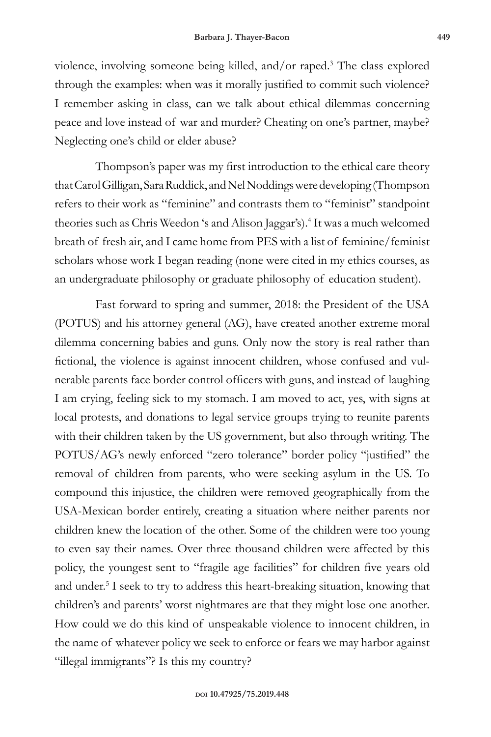violence, involving someone being killed, and/or raped.<sup>3</sup> The class explored through the examples: when was it morally justified to commit such violence? I remember asking in class, can we talk about ethical dilemmas concerning peace and love instead of war and murder? Cheating on one's partner, maybe? Neglecting one's child or elder abuse?

Thompson's paper was my first introduction to the ethical care theory that Carol Gilligan, Sara Ruddick, and Nel Noddings were developing (Thompson refers to their work as "feminine" and contrasts them to "feminist" standpoint theories such as Chris Weedon 's and Alison Jaggar's).<sup>4</sup> It was a much welcomed breath of fresh air, and I came home from PES with a list of feminine/feminist scholars whose work I began reading (none were cited in my ethics courses, as an undergraduate philosophy or graduate philosophy of education student).

Fast forward to spring and summer, 2018: the President of the USA (POTUS) and his attorney general (AG), have created another extreme moral dilemma concerning babies and guns. Only now the story is real rather than fictional, the violence is against innocent children, whose confused and vulnerable parents face border control officers with guns, and instead of laughing I am crying, feeling sick to my stomach. I am moved to act, yes, with signs at local protests, and donations to legal service groups trying to reunite parents with their children taken by the US government, but also through writing. The POTUS/AG's newly enforced "zero tolerance" border policy "justified" the removal of children from parents, who were seeking asylum in the US. To compound this injustice, the children were removed geographically from the USA-Mexican border entirely, creating a situation where neither parents nor children knew the location of the other. Some of the children were too young to even say their names. Over three thousand children were affected by this policy, the youngest sent to "fragile age facilities" for children five years old and under.<sup>5</sup> I seek to try to address this heart-breaking situation, knowing that children's and parents' worst nightmares are that they might lose one another. How could we do this kind of unspeakable violence to innocent children, in the name of whatever policy we seek to enforce or fears we may harbor against "illegal immigrants"? Is this my country?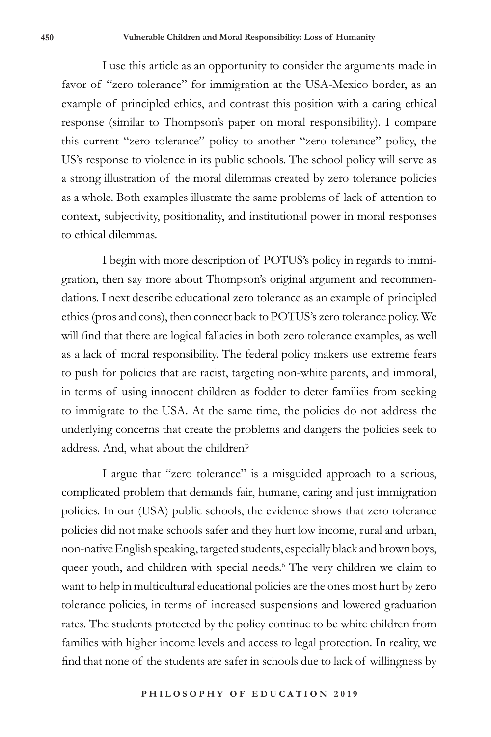I use this article as an opportunity to consider the arguments made in favor of "zero tolerance" for immigration at the USA-Mexico border, as an example of principled ethics, and contrast this position with a caring ethical response (similar to Thompson's paper on moral responsibility). I compare this current "zero tolerance" policy to another "zero tolerance" policy, the US's response to violence in its public schools. The school policy will serve as a strong illustration of the moral dilemmas created by zero tolerance policies as a whole. Both examples illustrate the same problems of lack of attention to context, subjectivity, positionality, and institutional power in moral responses to ethical dilemmas.

I begin with more description of POTUS's policy in regards to immigration, then say more about Thompson's original argument and recommendations. I next describe educational zero tolerance as an example of principled ethics (pros and cons), then connect back to POTUS's zero tolerance policy. We will find that there are logical fallacies in both zero tolerance examples, as well as a lack of moral responsibility. The federal policy makers use extreme fears to push for policies that are racist, targeting non-white parents, and immoral, in terms of using innocent children as fodder to deter families from seeking to immigrate to the USA. At the same time, the policies do not address the underlying concerns that create the problems and dangers the policies seek to address. And, what about the children?

I argue that "zero tolerance" is a misguided approach to a serious, complicated problem that demands fair, humane, caring and just immigration policies. In our (USA) public schools, the evidence shows that zero tolerance policies did not make schools safer and they hurt low income, rural and urban, non-native English speaking, targeted students, especially black and brown boys, queer youth, and children with special needs.<sup>6</sup> The very children we claim to want to help in multicultural educational policies are the ones most hurt by zero tolerance policies, in terms of increased suspensions and lowered graduation rates. The students protected by the policy continue to be white children from families with higher income levels and access to legal protection. In reality, we find that none of the students are safer in schools due to lack of willingness by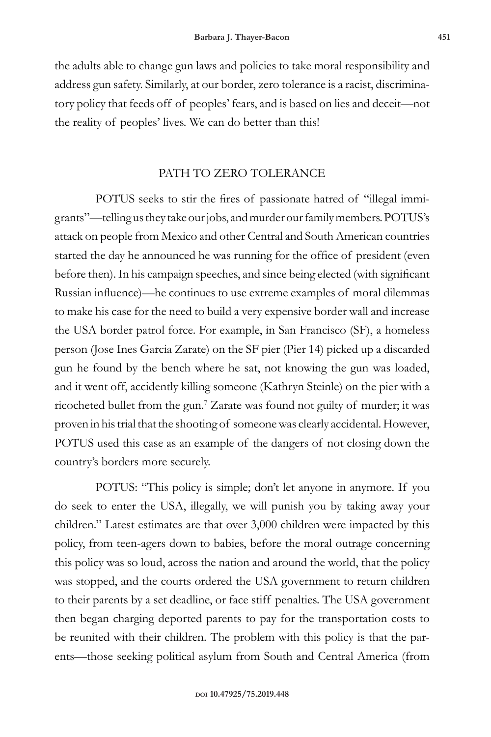the adults able to change gun laws and policies to take moral responsibility and address gun safety. Similarly, at our border, zero tolerance is a racist, discriminatory policy that feeds off of peoples' fears, and is based on lies and deceit—not the reality of peoples' lives. We can do better than this!

### PATH TO ZERO TOLERANCE

POTUS seeks to stir the fires of passionate hatred of "illegal immigrants"—telling us they take our jobs, and murder our family members. POTUS's attack on people from Mexico and other Central and South American countries started the day he announced he was running for the office of president (even before then). In his campaign speeches, and since being elected (with significant Russian influence)—he continues to use extreme examples of moral dilemmas to make his case for the need to build a very expensive border wall and increase the USA border patrol force. For example, in San Francisco (SF), a homeless person (Jose Ines Garcia Zarate) on the SF pier (Pier 14) picked up a discarded gun he found by the bench where he sat, not knowing the gun was loaded, and it went off, accidently killing someone (Kathryn Steinle) on the pier with a ricocheted bullet from the gun.7 Zarate was found not guilty of murder; it was proven in his trial that the shooting of someone was clearly accidental. However, POTUS used this case as an example of the dangers of not closing down the country's borders more securely.

POTUS: "This policy is simple; don't let anyone in anymore. If you do seek to enter the USA, illegally, we will punish you by taking away your children." Latest estimates are that over 3,000 children were impacted by this policy, from teen-agers down to babies, before the moral outrage concerning this policy was so loud, across the nation and around the world, that the policy was stopped, and the courts ordered the USA government to return children to their parents by a set deadline, or face stiff penalties. The USA government then began charging deported parents to pay for the transportation costs to be reunited with their children. The problem with this policy is that the parents—those seeking political asylum from South and Central America (from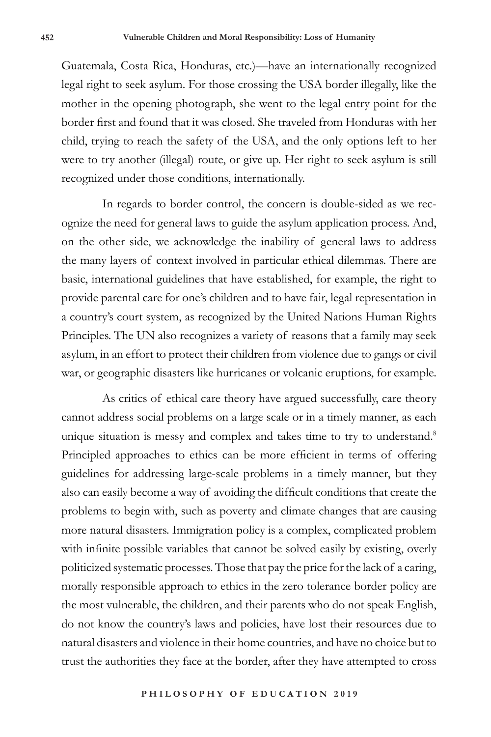Guatemala, Costa Rica, Honduras, etc.)—have an internationally recognized legal right to seek asylum. For those crossing the USA border illegally, like the mother in the opening photograph, she went to the legal entry point for the border first and found that it was closed. She traveled from Honduras with her child, trying to reach the safety of the USA, and the only options left to her were to try another (illegal) route, or give up. Her right to seek asylum is still recognized under those conditions, internationally.

In regards to border control, the concern is double-sided as we recognize the need for general laws to guide the asylum application process. And, on the other side, we acknowledge the inability of general laws to address the many layers of context involved in particular ethical dilemmas. There are basic, international guidelines that have established, for example, the right to provide parental care for one's children and to have fair, legal representation in a country's court system, as recognized by the United Nations Human Rights Principles. The UN also recognizes a variety of reasons that a family may seek asylum, in an effort to protect their children from violence due to gangs or civil war, or geographic disasters like hurricanes or volcanic eruptions, for example.

As critics of ethical care theory have argued successfully, care theory cannot address social problems on a large scale or in a timely manner, as each unique situation is messy and complex and takes time to try to understand.<sup>8</sup> Principled approaches to ethics can be more efficient in terms of offering guidelines for addressing large-scale problems in a timely manner, but they also can easily become a way of avoiding the difficult conditions that create the problems to begin with, such as poverty and climate changes that are causing more natural disasters. Immigration policy is a complex, complicated problem with infinite possible variables that cannot be solved easily by existing, overly politicized systematic processes. Those that pay the price for the lack of a caring, morally responsible approach to ethics in the zero tolerance border policy are the most vulnerable, the children, and their parents who do not speak English, do not know the country's laws and policies, have lost their resources due to natural disasters and violence in their home countries, and have no choice but to trust the authorities they face at the border, after they have attempted to cross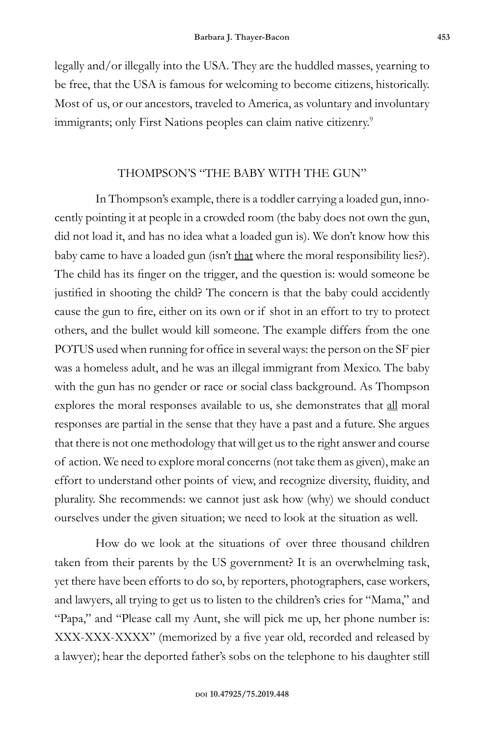legally and/or illegally into the USA. They are the huddled masses, yearning to be free, that the USA is famous for welcoming to become citizens, historically. Most of us, or our ancestors, traveled to America, as voluntary and involuntary immigrants; only First Nations peoples can claim native citizenry.<sup>9</sup>

# THOMPSON'S "THE BABY WITH THE GUN"

In Thompson's example, there is a toddler carrying a loaded gun, innocently pointing it at people in a crowded room (the baby does not own the gun, did not load it, and has no idea what a loaded gun is). We don't know how this baby came to have a loaded gun (isn't that where the moral responsibility lies?). The child has its finger on the trigger, and the question is: would someone be justified in shooting the child? The concern is that the baby could accidently cause the gun to fire, either on its own or if shot in an effort to try to protect others, and the bullet would kill someone. The example differs from the one POTUS used when running for office in several ways: the person on the SF pier was a homeless adult, and he was an illegal immigrant from Mexico. The baby with the gun has no gender or race or social class background. As Thompson explores the moral responses available to us, she demonstrates that all moral responses are partial in the sense that they have a past and a future. She argues that there is not one methodology that will get us to the right answer and course of action. We need to explore moral concerns (not take them as given), make an effort to understand other points of view, and recognize diversity, fluidity, and plurality. She recommends: we cannot just ask how (why) we should conduct ourselves under the given situation; we need to look at the situation as well.

How do we look at the situations of over three thousand children taken from their parents by the US government? It is an overwhelming task, yet there have been efforts to do so, by reporters, photographers, case workers, and lawyers, all trying to get us to listen to the children's cries for "Mama," and "Papa," and "Please call my Aunt, she will pick me up, her phone number is: XXX-XXX-XXXX" (memorized by a five year old, recorded and released by a lawyer); hear the deported father's sobs on the telephone to his daughter still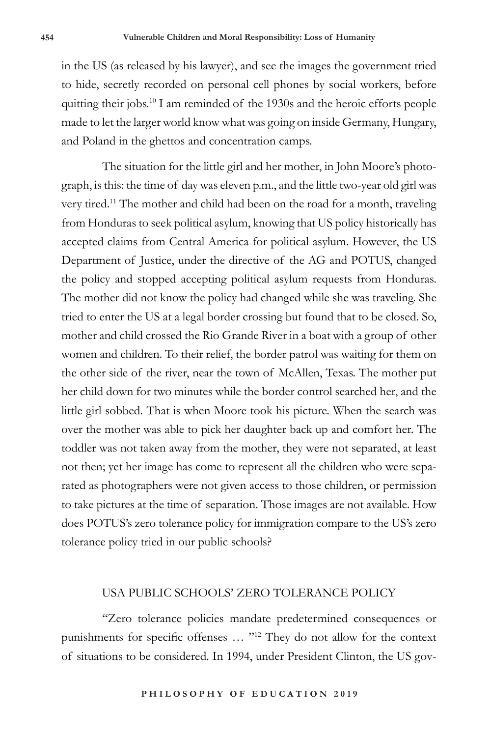in the US (as released by his lawyer), and see the images the government tried to hide, secretly recorded on personal cell phones by social workers, before quitting their jobs.10 I am reminded of the 1930s and the heroic efforts people made to let the larger world know what was going on inside Germany, Hungary, and Poland in the ghettos and concentration camps.

The situation for the little girl and her mother, in John Moore's photograph, is this: the time of day was eleven p.m., and the little two-year old girl was very tired.<sup>11</sup> The mother and child had been on the road for a month, traveling from Honduras to seek political asylum, knowing that US policy historically has accepted claims from Central America for political asylum. However, the US Department of Justice, under the directive of the AG and POTUS, changed the policy and stopped accepting political asylum requests from Honduras. The mother did not know the policy had changed while she was traveling. She tried to enter the US at a legal border crossing but found that to be closed. So, mother and child crossed the Rio Grande River in a boat with a group of other women and children. To their relief, the border patrol was waiting for them on the other side of the river, near the town of McAllen, Texas. The mother put her child down for two minutes while the border control searched her, and the little girl sobbed. That is when Moore took his picture. When the search was over the mother was able to pick her daughter back up and comfort her. The toddler was not taken away from the mother, they were not separated, at least not then; yet her image has come to represent all the children who were separated as photographers were not given access to those children, or permission to take pictures at the time of separation. Those images are not available. How does POTUS's zero tolerance policy for immigration compare to the US's zero tolerance policy tried in our public schools?

# USA PUBLIC SCHOOLS' ZERO TOLERANCE POLICY

"Zero tolerance policies mandate predetermined consequences or punishments for specific offenses … "12 They do not allow for the context of situations to be considered. In 1994, under President Clinton, the US gov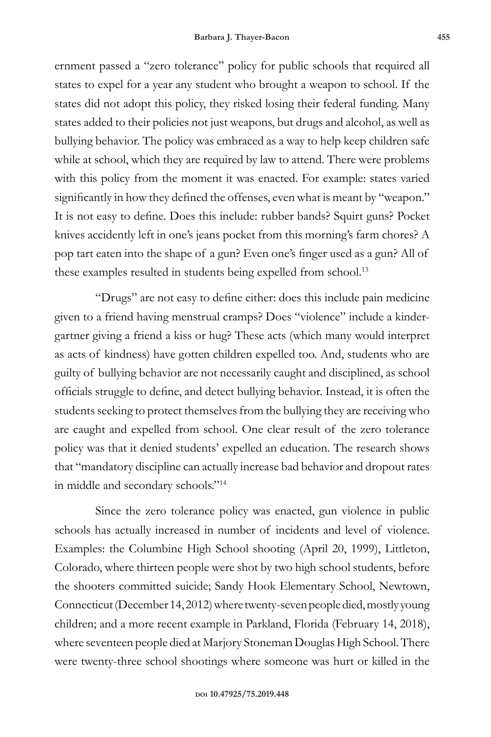ernment passed a "zero tolerance" policy for public schools that required all states to expel for a year any student who brought a weapon to school. If the states did not adopt this policy, they risked losing their federal funding. Many states added to their policies not just weapons, but drugs and alcohol, as well as bullying behavior. The policy was embraced as a way to help keep children safe while at school, which they are required by law to attend. There were problems with this policy from the moment it was enacted. For example: states varied significantly in how they defined the offenses, even what is meant by "weapon." It is not easy to define. Does this include: rubber bands? Squirt guns? Pocket knives accidently left in one's jeans pocket from this morning's farm chores? A pop tart eaten into the shape of a gun? Even one's finger used as a gun? All of these examples resulted in students being expelled from school.<sup>13</sup>

"Drugs" are not easy to define either: does this include pain medicine given to a friend having menstrual cramps? Does "violence" include a kindergartner giving a friend a kiss or hug? These acts (which many would interpret as acts of kindness) have gotten children expelled too. And, students who are guilty of bullying behavior are not necessarily caught and disciplined, as school officials struggle to define, and detect bullying behavior. Instead, it is often the students seeking to protect themselves from the bullying they are receiving who are caught and expelled from school. One clear result of the zero tolerance policy was that it denied students' expelled an education. The research shows that "mandatory discipline can actually increase bad behavior and dropout rates in middle and secondary schools."<sup>14</sup>

Since the zero tolerance policy was enacted, gun violence in public schools has actually increased in number of incidents and level of violence. Examples: the Columbine High School shooting (April 20, 1999), Littleton, Colorado, where thirteen people were shot by two high school students, before the shooters committed suicide; Sandy Hook Elementary School, Newtown, Connecticut (December 14, 2012) where twenty-seven people died, mostly young children; and a more recent example in Parkland, Florida (February 14, 2018), where seventeen people died at Marjory Stoneman Douglas High School. There were twenty-three school shootings where someone was hurt or killed in the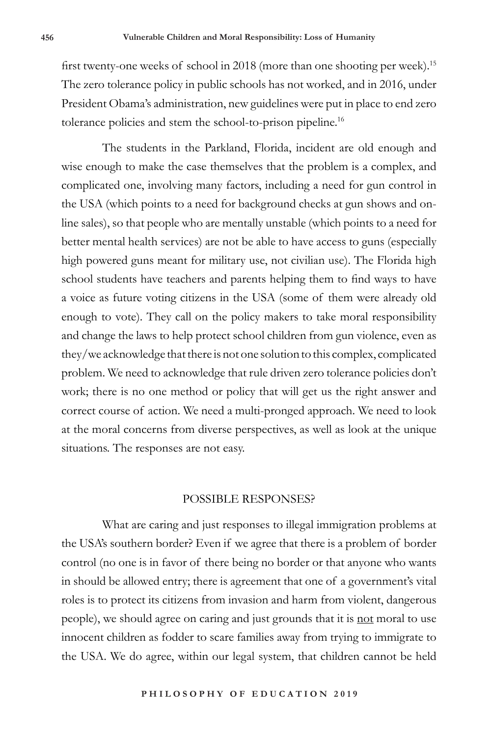first twenty-one weeks of school in 2018 (more than one shooting per week).<sup>15</sup> The zero tolerance policy in public schools has not worked, and in 2016, under President Obama's administration, new guidelines were put in place to end zero tolerance policies and stem the school-to-prison pipeline.<sup>16</sup>

The students in the Parkland, Florida, incident are old enough and wise enough to make the case themselves that the problem is a complex, and complicated one, involving many factors, including a need for gun control in the USA (which points to a need for background checks at gun shows and online sales), so that people who are mentally unstable (which points to a need for better mental health services) are not be able to have access to guns (especially high powered guns meant for military use, not civilian use). The Florida high school students have teachers and parents helping them to find ways to have a voice as future voting citizens in the USA (some of them were already old enough to vote). They call on the policy makers to take moral responsibility and change the laws to help protect school children from gun violence, even as they/we acknowledge that there is not one solution to this complex, complicated problem. We need to acknowledge that rule driven zero tolerance policies don't work; there is no one method or policy that will get us the right answer and correct course of action. We need a multi-pronged approach. We need to look at the moral concerns from diverse perspectives, as well as look at the unique situations. The responses are not easy.

#### POSSIBLE RESPONSES?

What are caring and just responses to illegal immigration problems at the USA's southern border? Even if we agree that there is a problem of border control (no one is in favor of there being no border or that anyone who wants in should be allowed entry; there is agreement that one of a government's vital roles is to protect its citizens from invasion and harm from violent, dangerous people), we should agree on caring and just grounds that it is not moral to use innocent children as fodder to scare families away from trying to immigrate to the USA. We do agree, within our legal system, that children cannot be held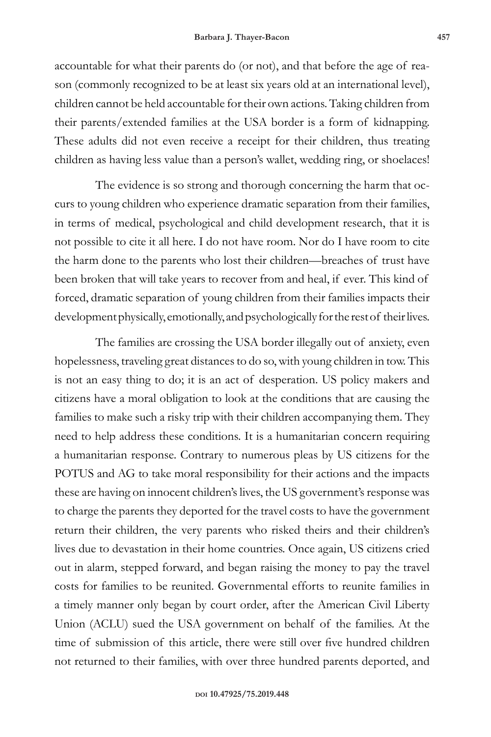accountable for what their parents do (or not), and that before the age of reason (commonly recognized to be at least six years old at an international level), children cannot be held accountable for their own actions. Taking children from their parents/extended families at the USA border is a form of kidnapping. These adults did not even receive a receipt for their children, thus treating children as having less value than a person's wallet, wedding ring, or shoelaces!

The evidence is so strong and thorough concerning the harm that occurs to young children who experience dramatic separation from their families, in terms of medical, psychological and child development research, that it is not possible to cite it all here. I do not have room. Nor do I have room to cite the harm done to the parents who lost their children—breaches of trust have been broken that will take years to recover from and heal, if ever. This kind of forced, dramatic separation of young children from their families impacts their development physically, emotionally, and psychologically for the rest of their lives.

The families are crossing the USA border illegally out of anxiety, even hopelessness, traveling great distances to do so, with young children in tow. This is not an easy thing to do; it is an act of desperation. US policy makers and citizens have a moral obligation to look at the conditions that are causing the families to make such a risky trip with their children accompanying them. They need to help address these conditions. It is a humanitarian concern requiring a humanitarian response. Contrary to numerous pleas by US citizens for the POTUS and AG to take moral responsibility for their actions and the impacts these are having on innocent children's lives, the US government's response was to charge the parents they deported for the travel costs to have the government return their children, the very parents who risked theirs and their children's lives due to devastation in their home countries. Once again, US citizens cried out in alarm, stepped forward, and began raising the money to pay the travel costs for families to be reunited. Governmental efforts to reunite families in a timely manner only began by court order, after the American Civil Liberty Union (ACLU) sued the USA government on behalf of the families. At the time of submission of this article, there were still over five hundred children not returned to their families, with over three hundred parents deported, and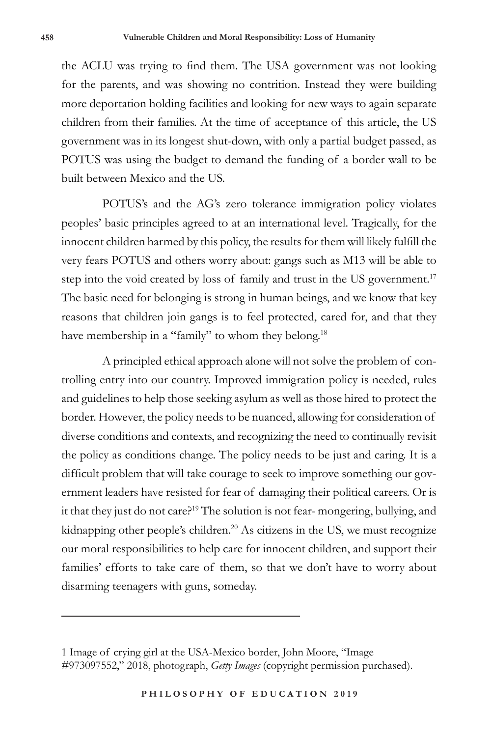the ACLU was trying to find them. The USA government was not looking for the parents, and was showing no contrition. Instead they were building more deportation holding facilities and looking for new ways to again separate children from their families. At the time of acceptance of this article, the US government was in its longest shut-down, with only a partial budget passed, as POTUS was using the budget to demand the funding of a border wall to be built between Mexico and the US.

POTUS's and the AG's zero tolerance immigration policy violates peoples' basic principles agreed to at an international level. Tragically, for the innocent children harmed by this policy, the results for them will likely fulfill the very fears POTUS and others worry about: gangs such as M13 will be able to step into the void created by loss of family and trust in the US government.<sup>17</sup> The basic need for belonging is strong in human beings, and we know that key reasons that children join gangs is to feel protected, cared for, and that they have membership in a "family" to whom they belong.<sup>18</sup>

A principled ethical approach alone will not solve the problem of controlling entry into our country. Improved immigration policy is needed, rules and guidelines to help those seeking asylum as well as those hired to protect the border. However, the policy needs to be nuanced, allowing for consideration of diverse conditions and contexts, and recognizing the need to continually revisit the policy as conditions change. The policy needs to be just and caring. It is a difficult problem that will take courage to seek to improve something our government leaders have resisted for fear of damaging their political careers. Or is it that they just do not care?<sup>19</sup> The solution is not fear-mongering, bullying, and kidnapping other people's children.<sup>20</sup> As citizens in the US, we must recognize our moral responsibilities to help care for innocent children, and support their families' efforts to take care of them, so that we don't have to worry about disarming teenagers with guns, someday.

<sup>1</sup> Image of crying girl at the USA-Mexico border, John Moore, "Image #973097552," 2018, photograph, *Getty Images* (copyright permission purchased).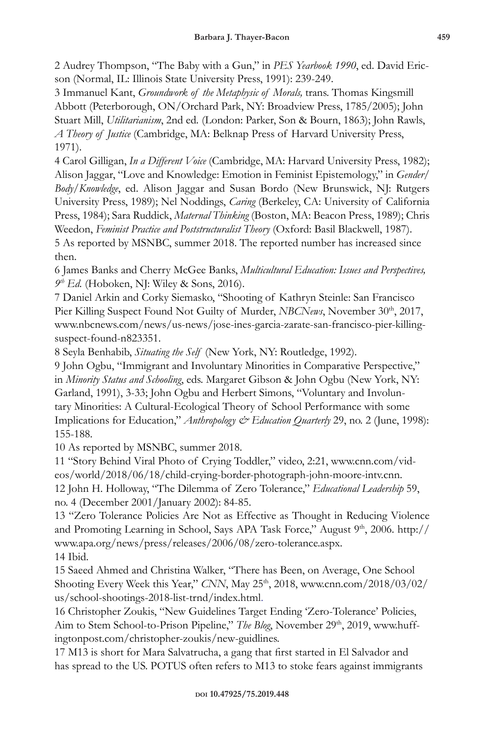2 Audrey Thompson, "The Baby with a Gun," in *PES Yearbook 1990*, ed. David Ericson (Normal, IL: Illinois State University Press, 1991): 239-249.

3 Immanuel Kant, *Groundwork of the Metaphysic of Morals,* trans. Thomas Kingsmill Abbott (Peterborough, ON/Orchard Park, NY: Broadview Press, 1785/2005); John Stuart Mill, *Utilitarianism*, 2nd ed*.* (London: Parker, Son & Bourn, 1863); John Rawls, *A Theory of Justice* (Cambridge, MA: Belknap Press of Harvard University Press, 1971).

4 Carol Gilligan, *In a Different Voice* (Cambridge, MA: Harvard University Press, 1982); Alison Jaggar, "Love and Knowledge: Emotion in Feminist Epistemology," in *Gender/ Body/Knowledge*, ed. Alison Jaggar and Susan Bordo (New Brunswick, NJ: Rutgers University Press, 1989); Nel Noddings, *Caring* (Berkeley, CA: University of California Press, 1984); Sara Ruddick, *Maternal Thinking* (Boston, MA: Beacon Press, 1989); Chris Weedon, *Feminist Practice and Poststructuralist Theory* (Oxford: Basil Blackwell, 1987). 5 As reported by MSNBC, summer 2018. The reported number has increased since then.

6 James Banks and Cherry McGee Banks, *Multicultural Education: Issues and Perspectives, 9th Ed.* (Hoboken, NJ: Wiley & Sons, 2016).

7 Daniel Arkin and Corky Siemasko, "Shooting of Kathryn Steinle: San Francisco Pier Killing Suspect Found Not Guilty of Murder, *NBCNews*, November 30<sup>th</sup>, 2017, www.nbcnews.com/news/us-news/jose-ines-garcia-zarate-san-francisco-pier-killingsuspect-found-n823351.

8 Seyla Benhabib, *Situating the Self* (New York, NY: Routledge, 1992).

9 John Ogbu, "Immigrant and Involuntary Minorities in Comparative Perspective," in *Minority Status and Schooling*, eds. Margaret Gibson & John Ogbu (New York, NY: Garland, 1991), 3-33; John Ogbu and Herbert Simons, "Voluntary and Involuntary Minorities: A Cultural-Ecological Theory of School Performance with some Implications for Education," *Anthropology & Education Quarterly* 29, no. 2 (June, 1998): 155-188.

10 As reported by MSNBC, summer 2018.

11 "Story Behind Viral Photo of Crying Toddler," video, 2:21, www.cnn.com/videos/world/2018/06/18/child-crying-border-photograph-john-moore-intv.cnn. 12 John H. Holloway, "The Dilemma of Zero Tolerance," *Educational Leadership* 59, no. 4 (December 2001/January 2002): 84-85.

13 "Zero Tolerance Policies Are Not as Effective as Thought in Reducing Violence and Promoting Learning in School, Says APA Task Force," August 9th, 2006. http:// www.apa.org/news/press/releases/2006/08/zero-tolerance.aspx. 14 Ibid.

15 Saeed Ahmed and Christina Walker, "There has Been, on Average, One School Shooting Every Week this Year," CNN, May 25<sup>th</sup>, 2018, www.cnn.com/2018/03/02/ us/school-shootings-2018-list-trnd/index.html.

16 Christopher Zoukis, "New Guidelines Target Ending 'Zero-Tolerance' Policies, Aim to Stem School-to-Prison Pipeline," *The Blog*, November 29<sup>th</sup>, 2019, www.huffingtonpost.com/christopher-zoukis/new-guidlines.

17 M13 is short for Mara Salvatrucha, a gang that first started in El Salvador and has spread to the US. POTUS often refers to M13 to stoke fears against immigrants